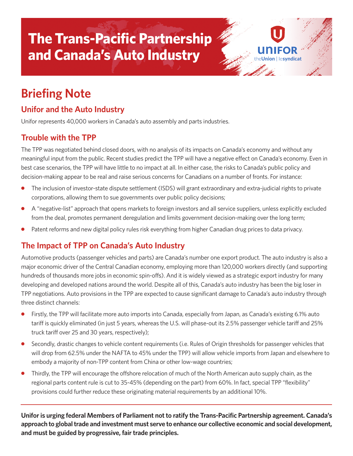# **The Trans-Pacific Partnership and Canada's Auto Industry**

# **Briefing Note**

### **Unifor and the Auto Industry**

Unifor represents 40,000 workers in Canada's auto assembly and parts industries.

#### **Trouble with the TPP**

The TPP was negotiated behind closed doors, with no analysis of its impacts on Canada's economy and without any meaningful input from the public. Recent studies predict the TPP will have a negative effect on Canada's economy. Even in best case scenarios, the TPP will have little to no impact at all. In either case, the risks to Canada's public policy and decision-making appear to be real and raise serious concerns for Canadians on a number of fronts. For instance:

on Hesyndicat

- **●** The inclusion of investor-state dispute settlement (ISDS) will grant extraordinary and extra-judicial rights to private corporations, allowing them to sue governments over public policy decisions;
- **●** A "negative-list" approach that opens markets to foreign investors and all service suppliers, unless explicitly excluded from the deal, promotes permanent deregulation and limits government decision-making over the long term;
- Patent reforms and new digital policy rules risk everything from higher Canadian drug prices to data privacy.

#### **The Impact of TPP on Canada's Auto Industry**

Automotive products (passenger vehicles and parts) are Canada's number one export product. The auto industry is also a major economic driver of the Central Canadian economy, employing more than 120,000 workers directly (and supporting hundreds of thousands more jobs in economic spin-offs). And it is widely viewed as a strategic export industry for many developing and developed nations around the world. Despite all of this, Canada's auto industry has been the big loser in TPP negotiations. Auto provisions in the TPP are expected to cause significant damage to Canada's auto industry through three distinct channels:

- **●** Firstly, the TPP will facilitate more auto imports into Canada, especially from Japan, as Canada's existing 6.1% auto tariff is quickly eliminated (in just 5 years, whereas the U.S. will phase-out its 2.5% passenger vehicle tariff and 25% truck tariff over 25 and 30 years, respectively);
- **●** Secondly, drastic changes to vehicle content requirements (i.e. Rules of Origin thresholds for passenger vehicles that will drop from 62.5% under the NAFTA to 45% under the TPP) will allow vehicle imports from Japan and elsewhere to embody a majority of non-TPP content from China or other low-wage countries;
- Thirdly, the TPP will encourage the offshore relocation of much of the North American auto supply chain, as the regional parts content rule is cut to 35-45% (depending on the part) from 60%. In fact, special TPP "flexibility" provisions could further reduce these originating material requirements by an additional 10%.

**Uniforis urging federal Members of Parliament not to ratify the Trans-Pacific Partnership agreement. Canada's approach to globaltrade and investment must serve to enhance our collective economic and social development, and must be guided by progressive, fair trade principles.**